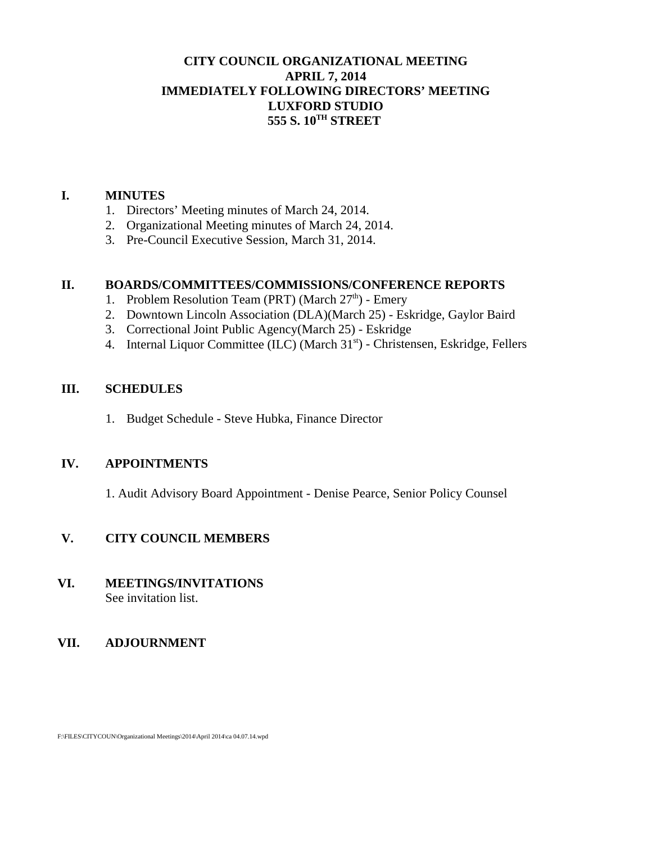# **CITY COUNCIL ORGANIZATIONAL MEETING APRIL 7, 2014 IMMEDIATELY FOLLOWING DIRECTORS' MEETING LUXFORD STUDIO 555 S. 10TH STREET**

### **I. MINUTES**

- 1. Directors' Meeting minutes of March 24, 2014.
- 2. Organizational Meeting minutes of March 24, 2014.
- 3. Pre-Council Executive Session, March 31, 2014.

### **II. BOARDS/COMMITTEES/COMMISSIONS/CONFERENCE REPORTS**

- 1. Problem Resolution Team (PRT) (March  $27<sup>th</sup>$ ) Emery
- 2. Downtown Lincoln Association (DLA)(March 25) Eskridge, Gaylor Baird
- 3. Correctional Joint Public Agency(March 25) Eskridge
- 4. Internal Liquor Committee (ILC) (March 31<sup>st</sup>) Christensen, Eskridge, Fellers

### **III. SCHEDULES**

1. Budget Schedule - Steve Hubka, Finance Director

# **IV. APPOINTMENTS**

1. Audit Advisory Board Appointment - Denise Pearce, Senior Policy Counsel

# **V. CITY COUNCIL MEMBERS**

### **VI. MEETINGS/INVITATIONS** See invitation list.

# **VII. ADJOURNMENT**

F:\FILES\CITYCOUN\Organizational Meetings\2014\April 2014\ca 04.07.14.wpd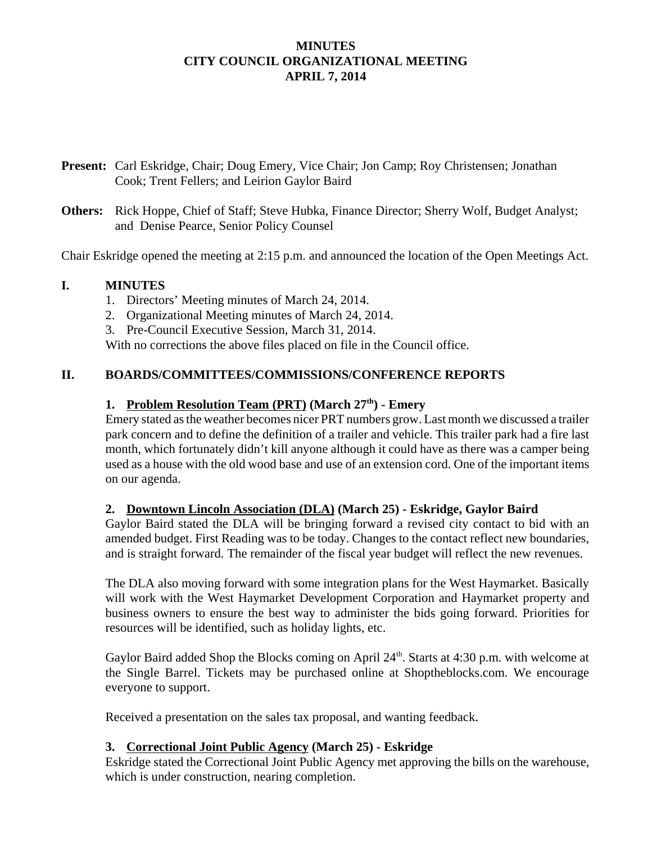# **MINUTES CITY COUNCIL ORGANIZATIONAL MEETING APRIL 7, 2014**

- **Present:** Carl Eskridge, Chair; Doug Emery, Vice Chair; Jon Camp; Roy Christensen; Jonathan Cook; Trent Fellers; and Leirion Gaylor Baird
- **Others:** Rick Hoppe, Chief of Staff; Steve Hubka, Finance Director; Sherry Wolf, Budget Analyst; and Denise Pearce, Senior Policy Counsel

Chair Eskridge opened the meeting at 2:15 p.m. and announced the location of the Open Meetings Act.

### **I. MINUTES**

- 1. Directors' Meeting minutes of March 24, 2014.
- 2. Organizational Meeting minutes of March 24, 2014.
- 3. Pre-Council Executive Session, March 31, 2014.

With no corrections the above files placed on file in the Council office.

# **II. BOARDS/COMMITTEES/COMMISSIONS/CONFERENCE REPORTS**

### 1. Problem Resolution Team (PRT) (March 27<sup>th</sup>) - Emery

Emery stated as the weather becomes nicer PRT numbers grow. Last month we discussed a trailer park concern and to define the definition of a trailer and vehicle. This trailer park had a fire last month, which fortunately didn't kill anyone although it could have as there was a camper being used as a house with the old wood base and use of an extension cord. One of the important items on our agenda.

### **2. Downtown Lincoln Association (DLA) (March 25) - Eskridge, Gaylor Baird**

Gaylor Baird stated the DLA will be bringing forward a revised city contact to bid with an amended budget. First Reading was to be today. Changes to the contact reflect new boundaries, and is straight forward. The remainder of the fiscal year budget will reflect the new revenues.

The DLA also moving forward with some integration plans for the West Haymarket. Basically will work with the West Haymarket Development Corporation and Haymarket property and business owners to ensure the best way to administer the bids going forward. Priorities for resources will be identified, such as holiday lights, etc.

Gaylor Baird added Shop the Blocks coming on April 24<sup>th</sup>. Starts at 4:30 p.m. with welcome at the Single Barrel. Tickets may be purchased online at Shoptheblocks.com. We encourage everyone to support.

Received a presentation on the sales tax proposal, and wanting feedback.

### **3. Correctional Joint Public Agency (March 25) - Eskridge**

Eskridge stated the Correctional Joint Public Agency met approving the bills on the warehouse, which is under construction, nearing completion.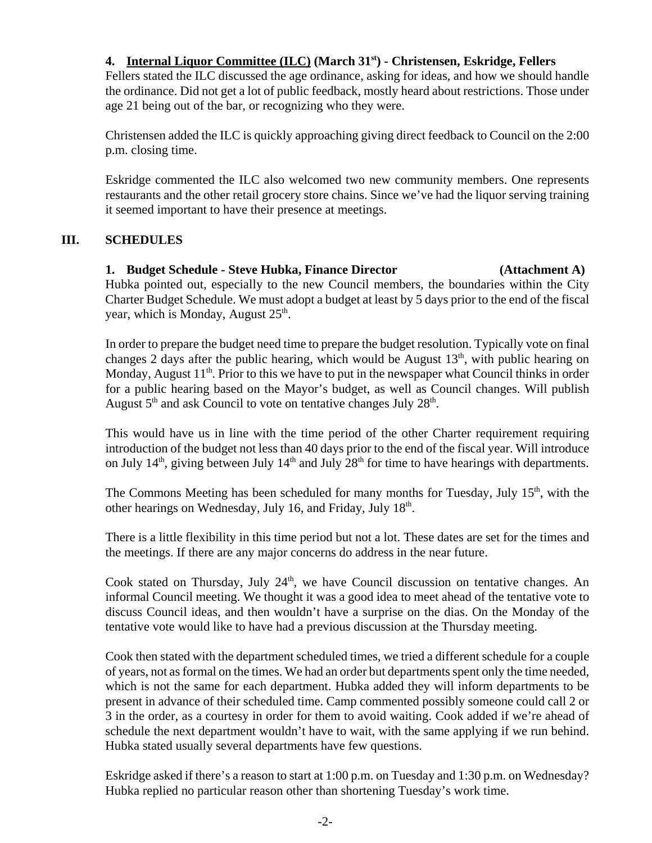# **4. Internal Liquor Committee (ILC) (March 31st) - Christensen, Eskridge, Fellers**

Fellers stated the ILC discussed the age ordinance, asking for ideas, and how we should handle the ordinance. Did not get a lot of public feedback, mostly heard about restrictions. Those under age 21 being out of the bar, or recognizing who they were.

Christensen added the ILC is quickly approaching giving direct feedback to Council on the 2:00 p.m. closing time.

Eskridge commented the ILC also welcomed two new community members. One represents restaurants and the other retail grocery store chains. Since we've had the liquor serving training it seemed important to have their presence at meetings.

# **III. SCHEDULES**

# **1. Budget Schedule - Steve Hubka, Finance Director (Attachment A)**

Hubka pointed out, especially to the new Council members, the boundaries within the City Charter Budget Schedule. We must adopt a budget at least by 5 days prior to the end of the fiscal year, which is Monday, August  $25<sup>th</sup>$ .

In order to prepare the budget need time to prepare the budget resolution. Typically vote on final changes 2 days after the public hearing, which would be August  $13<sup>th</sup>$ , with public hearing on Monday, August  $11<sup>th</sup>$ . Prior to this we have to put in the newspaper what Council thinks in order for a public hearing based on the Mayor's budget, as well as Council changes. Will publish August  $5<sup>th</sup>$  and ask Council to vote on tentative changes July  $28<sup>th</sup>$ .

This would have us in line with the time period of the other Charter requirement requiring introduction of the budget not less than 40 days prior to the end of the fiscal year. Will introduce on July  $14<sup>th</sup>$ , giving between July  $14<sup>th</sup>$  and July  $28<sup>th</sup>$  for time to have hearings with departments.

The Commons Meeting has been scheduled for many months for Tuesday, July 15<sup>th</sup>, with the other hearings on Wednesday, July 16, and Friday, July  $18<sup>th</sup>$ .

There is a little flexibility in this time period but not a lot. These dates are set for the times and the meetings. If there are any major concerns do address in the near future.

Cook stated on Thursday, July  $24<sup>th</sup>$ , we have Council discussion on tentative changes. An informal Council meeting. We thought it was a good idea to meet ahead of the tentative vote to discuss Council ideas, and then wouldn't have a surprise on the dias. On the Monday of the tentative vote would like to have had a previous discussion at the Thursday meeting.

Cook then stated with the department scheduled times, we tried a different schedule for a couple of years, not as formal on the times. We had an order but departments spent only the time needed, which is not the same for each department. Hubka added they will inform departments to be present in advance of their scheduled time. Camp commented possibly someone could call 2 or 3 in the order, as a courtesy in order for them to avoid waiting. Cook added if we're ahead of schedule the next department wouldn't have to wait, with the same applying if we run behind. Hubka stated usually several departments have few questions.

Eskridge asked if there's a reason to start at 1:00 p.m. on Tuesday and 1:30 p.m. on Wednesday? Hubka replied no particular reason other than shortening Tuesday's work time.